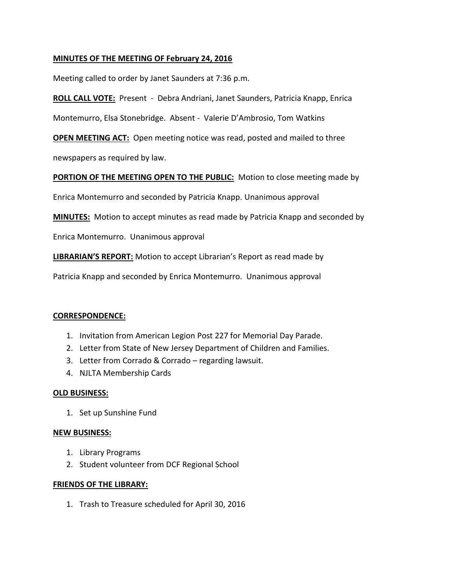### **MINUTES OF THE MEETING OF February 24, 2016**

Meeting called to order by Janet Saunders at 7:36 p.m.

**ROLL CALL VOTE:** Present - Debra Andriani, Janet Saunders, Patricia Knapp, Enrica

Montemurro, Elsa Stonebridge. Absent - Valerie D'Ambrosio, Tom Watkins

**OPEN MEETING ACT:** Open meeting notice was read, posted and mailed to three newspapers as required by law.

**PORTION OF THE MEETING OPEN TO THE PUBLIC:** Motion to close meeting made by

Enrica Montemurro and seconded by Patricia Knapp. Unanimous approval

**MINUTES:** Motion to accept minutes as read made by Patricia Knapp and seconded by

Enrica Montemurro. Unanimous approval

**LIBRARIAN'S REPORT:** Motion to accept Librarian's Report as read made by

Patricia Knapp and seconded by Enrica Montemurro. Unanimous approval

#### **CORRESPONDENCE:**

- 1. Invitation from American Legion Post 227 for Memorial Day Parade.
- 2. Letter from State of New Jersey Department of Children and Families.
- 3. Letter from Corrado & Corrado regarding lawsuit.
- 4. NJLTA Membership Cards

#### **OLD BUSINESS:**

1. Set up Sunshine Fund

#### **NEW BUSINESS:**

- 1. Library Programs
- 2. Student volunteer from DCF Regional School

#### **FRIENDS OF THE LIBRARY:**

1. Trash to Treasure scheduled for April 30, 2016